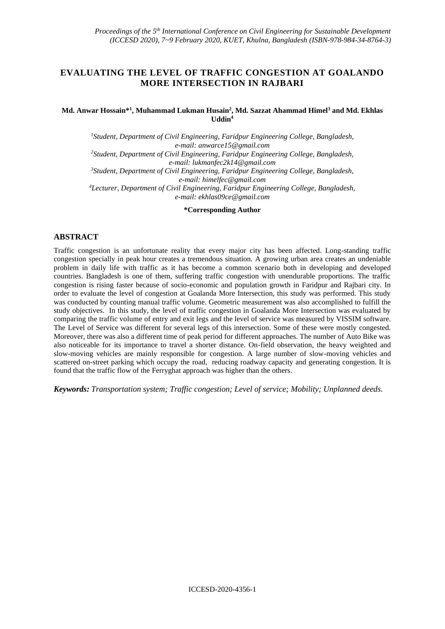## **EVALUATING THE LEVEL OF TRAFFIC CONGESTION AT GOALANDO MORE INTERSECTION IN RAJBARI**

#### **Md. Anwar Hossain\*<sup>1</sup> , Muhammad Lukman Husain<sup>2</sup> , Md. Sazzat Ahammad Himel<sup>3</sup> and Md. Ekhlas Uddin<sup>4</sup>**

*<sup>1</sup>Student, Department of Civil Engineering, Faridpur Engineering College, Bangladesh, e-mail[: anwarce15@gmail.com](mailto:anwarce15@gmail.com) <sup>2</sup>Student, Department of Civil Engineering, Faridpur Engineering College, Bangladesh, e-mail[: lukmanfec2k14@gmail.com](mailto:lukmanfec2k14@gmail.com) <sup>3</sup>Student, Department of Civil Engineering, Faridpur Engineering College, Bangladesh, e-mail: [himelfec@gmail.com](mailto:himelfec@gmail.com) <sup>4</sup>Lecturer, Department of Civil Engineering, Faridpur Engineering College, Bangladesh, e-mail[: ekhlas09ce@gmail.com](mailto:ekhlas09ce@gmail.com)*

**\*Corresponding Author**

## **ABSTRACT**

Traffic congestion is an unfortunate reality that every major city has been affected. Long-standing traffic congestion specially in peak hour creates a tremendous situation. A growing urban area creates an undeniable problem in daily life with traffic as it has become a common scenario both in developing and developed countries. Bangladesh is one of them, suffering traffic congestion with unendurable proportions. The traffic congestion is rising faster because of socio-economic and population growth in Faridpur and Rajbari city. In order to evaluate the level of congestion at Goalanda More Intersection, this study was performed. This study was conducted by counting manual traffic volume. Geometric measurement was also accomplished to fulfill the study objectives. In this study, the level of traffic congestion in Goalanda More Intersection was evaluated by comparing the traffic volume of entry and exit legs and the level of service was measured by VISSIM software. The Level of Service was different for several legs of this intersection. Some of these were mostly congested. Moreover, there was also a different time of peak period for different approaches. The number of Auto Bike was also noticeable for its importance to travel a shorter distance. On-field observation, the heavy weighted and slow-moving vehicles are mainly responsible for congestion. A large number of slow-moving vehicles and scattered on-street parking which occupy the road, reducing roadway capacity and generating congestion. It is found that the traffic flow of the Ferryghat approach was higher than the others.

*Keywords: Transportation system; Traffic congestion; Level of service; Mobility; Unplanned deeds.*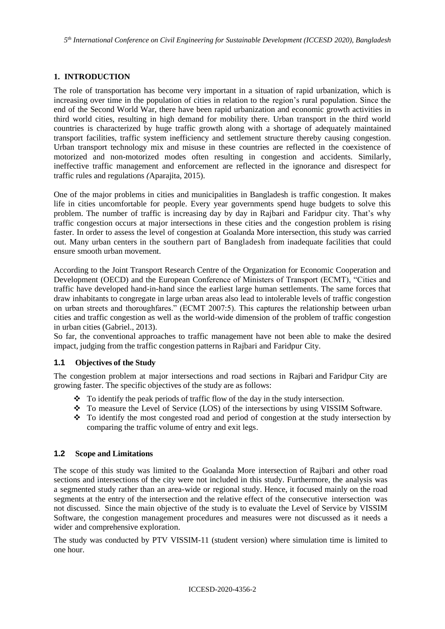*5 th International Conference on Civil Engineering for Sustainable Development (ICCESD 2020), Bangladesh*

# **1. INTRODUCTION**

The role of transportation has become very important in a situation of rapid urbanization, which is increasing over time in the population of cities in relation to the region's rural population. Since the end of the Second World War, there have been rapid urbanization and economic growth activities in third world cities, resulting in high demand for mobility there. Urban transport in the third world countries is characterized by huge traffic growth along with a shortage of adequately maintained transport facilities, traffic system inefficiency and settlement structure thereby causing congestion. Urban transport technology mix and misuse in these countries are reflected in the coexistence of motorized and non-motorized modes often resulting in congestion and accidents. Similarly, ineffective traffic management and enforcement are reflected in the ignorance and disrespect for traffic rules and regulations *(*Aparajita, 2015).

One of the major problems in cities and municipalities in Bangladesh is traffic congestion. It makes life in cities uncomfortable for people. Every year governments spend huge budgets to solve this problem. The number of traffic is increasing day by day in Rajbari and Faridpur city. That's why traffic congestion occurs at major intersections in these cities and the congestion problem is rising faster. In order to assess the level of congestion at Goalanda More intersection, this study was carried out. Many urban centers in the southern part of Bangladesh from inadequate facilities that could ensure smooth urban movement.

According to the Joint Transport Research Centre of the Organization for Economic Cooperation and Development (OECD) and the European Conference of Ministers of Transport (ECMT), "Cities and traffic have developed hand-in-hand since the earliest large human settlements. The same forces that draw inhabitants to congregate in large urban areas also lead to intolerable levels of traffic congestion on urban streets and thoroughfares." (ECMT 2007:5). This captures the relationship between urban cities and traffic congestion as well as the world-wide dimension of the problem of traffic congestion in urban cities (Gabriel., 2013).

So far, the conventional approaches to traffic management have not been able to make the desired impact, judging from the traffic congestion patterns in Rajbari and Faridpur City.

## **1.1 Objectives of the Study**

The congestion problem at major intersections and road sections in Rajbari and Faridpur City are growing faster. The specific objectives of the study are as follows:

- ❖ To identify the peak periods of traffic flow of the day in the study intersection.
- ❖ To measure the Level of Service (LOS) of the intersections by using VISSIM Software.
- ❖ To identify the most congested road and period of congestion at the study intersection by comparing the traffic volume of entry and exit legs.

#### **1.2 Scope and Limitations**

The scope of this study was limited to the Goalanda More intersection of Rajbari and other road sections and intersections of the city were not included in this study. Furthermore, the analysis was a segmented study rather than an area-wide or regional study. Hence, it focused mainly on the road segments at the entry of the intersection and the relative effect of the consecutive intersection was not discussed. Since the main objective of the study is to evaluate the Level of Service by VISSIM Software, the congestion management procedures and measures were not discussed as it needs a wider and comprehensive exploration.

The study was conducted by PTV VISSIM-11 (student version) where simulation time is limited to one hour.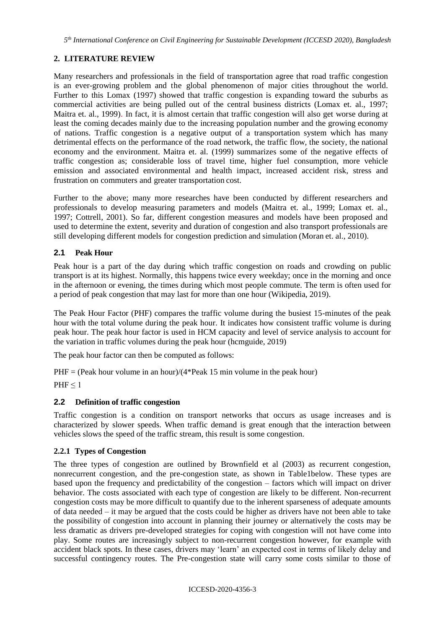# **2. LITERATURE REVIEW**

Many researchers and professionals in the field of transportation agree that road traffic congestion is an ever-growing problem and the global phenomenon of major cities throughout the world. Further to this Lomax (1997) showed that traffic congestion is expanding toward the suburbs as commercial activities are being pulled out of the central business districts (Lomax et. al., 1997; Maitra et. al., 1999)*.* In fact, it is almost certain that traffic congestion will also get worse during at least the coming decades mainly due to the increasing population number and the growing economy of nations. Traffic congestion is a negative output of a transportation system which has many detrimental effects on the performance of the road network, the traffic flow, the society, the national economy and the environment. Maitra et. al. (1999) summarizes some of the negative effects of traffic congestion as; considerable loss of travel time, higher fuel consumption, more vehicle emission and associated environmental and health impact, increased accident risk, stress and frustration on commuters and greater transportation cost.

Further to the above; many more researches have been conducted by different researchers and professionals to develop measuring parameters and models (Maitra et. al., 1999; Lomax et. al., 1997; Cottrell, 2001). So far, different congestion measures and models have been proposed and used to determine the extent, severity and duration of congestion and also transport professionals are still developing different models for congestion prediction and simulation (Moran et. al., 2010).

## **2.1 Peak Hour**

Peak hour is a part of the day during which [traffic congestion](https://en.wikipedia.org/wiki/Traffic_congestion) on roads and crowding on [public](https://en.wikipedia.org/wiki/Public_transport)  [transport](https://en.wikipedia.org/wiki/Public_transport) is at its highest. Normally, this happens twice every weekday; once in the morning and once in the afternoon or evening, the times during which most people [commute.](https://en.wikipedia.org/wiki/Commuting) The term is often used for a period of peak congestion that may last for more than one hour (Wikipedia, 2019).

The Peak Hour Factor (PHF) compares the traffic volume during the busiest 15-minutes of the peak hour with the total volume during the peak hour. It indicates how consistent traffic volume is during peak hour. The peak hour factor is used in HCM capacity and level of service analysis to account for the variation in traffic volumes during the peak hour (hcmguide, 2019)

The peak hour factor can then be computed as follows:

 $PHF = (Peak hour volume in an hour)/(4*Peak 15 min volume in the peak hour)$  $PHF \leq 1$ 

# **2.2 Definition of traffic congestion**

Traffic congestion is a condition on transport networks that occurs as usage increases and is characterized by slower speeds. When traffic demand is great enough that the interaction between vehicles slows the speed of the traffic stream, this result is some congestion.

## **2.2.1 Types of Congestion**

The three types of congestion are outlined by Brownfield et al (2003) as recurrent congestion, nonrecurrent congestion, and the pre-congestion state, as shown in Table1below. These types are based upon the frequency and predictability of the congestion – factors which will impact on driver behavior. The costs associated with each type of congestion are likely to be different. Non-recurrent congestion costs may be more difficult to quantify due to the inherent sparseness of adequate amounts of data needed – it may be argued that the costs could be higher as drivers have not been able to take the possibility of congestion into account in planning their journey or alternatively the costs may be less dramatic as drivers pre-developed strategies for coping with congestion will not have come into play. Some routes are increasingly subject to non-recurrent congestion however, for example with accident black spots. In these cases, drivers may 'learn' an expected cost in terms of likely delay and successful contingency routes. The Pre-congestion state will carry some costs similar to those of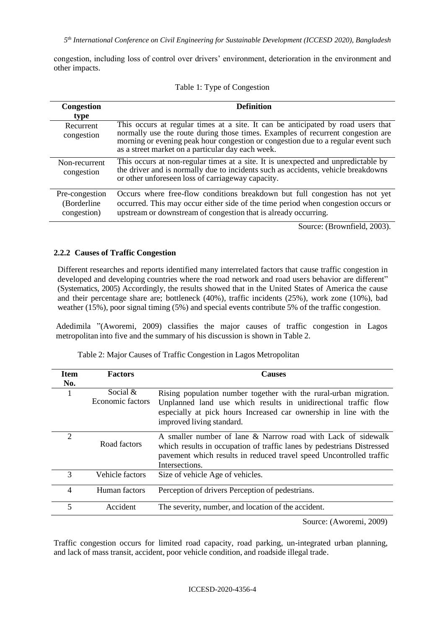*5 th International Conference on Civil Engineering for Sustainable Development (ICCESD 2020), Bangladesh*

congestion, including loss of control over drivers' environment, deterioration in the environment and other impacts.

| <b>Congestion</b><br>type                     | <b>Definition</b>                                                                                                                                                                                                                                                                                             |
|-----------------------------------------------|---------------------------------------------------------------------------------------------------------------------------------------------------------------------------------------------------------------------------------------------------------------------------------------------------------------|
| Recurrent<br>congestion                       | This occurs at regular times at a site. It can be anticipated by road users that<br>normally use the route during those times. Examples of recurrent congestion are<br>morning or evening peak hour congestion or congestion due to a regular event such<br>as a street market on a particular day each week. |
| Non-recurrent<br>congestion                   | This occurs at non-regular times at a site. It is unexpected and unpredictable by<br>the driver and is normally due to incidents such as accidents, vehicle breakdowns<br>or other unforeseen loss of carriageway capacity.                                                                                   |
| Pre-congestion<br>(Borderline)<br>congestion) | Occurs where free-flow conditions breakdown but full congestion has not yet<br>occurred. This may occur either side of the time period when congestion occurs or<br>upstream or downstream of congestion that is already occurring.                                                                           |

Table 1: Type of Congestion

Source: (Brownfield, 2003).

## **2.2.2 Causes of Traffic Congestion**

Different researches and reports identified many interrelated factors that cause traffic congestion in developed and developing countries where the road network and road users behavior are different" (Systematics, 2005) Accordingly, the results showed that in the United States of America the cause and their percentage share are; bottleneck (40%), traffic incidents (25%), work zone (10%), bad weather (15%), poor signal timing (5%) and special events contribute 5% of the traffic congestion.

Adedimila "(Aworemi, 2009) classifies the major causes of traffic congestion in Lagos metropolitan into five and the summary of his discussion is shown in Table 2*.*

| Item<br>No.                 | <b>Factors</b>                 | <b>Causes</b>                                                                                                                                                                                                                          |
|-----------------------------|--------------------------------|----------------------------------------------------------------------------------------------------------------------------------------------------------------------------------------------------------------------------------------|
|                             | Social $&$<br>Economic factors | Rising population number together with the rural-urban migration.<br>Unplanned land use which results in unidirectional traffic flow<br>especially at pick hours Increased car ownership in line with the<br>improved living standard. |
| $\mathcal{D}_{\mathcal{A}}$ | Road factors                   | A smaller number of lane & Narrow road with Lack of sidewalk<br>which results in occupation of traffic lanes by pedestrians Distressed<br>pavement which results in reduced travel speed Uncontrolled traffic<br>Intersections.        |
| 3                           | Vehicle factors                | Size of vehicle Age of vehicles.                                                                                                                                                                                                       |
| 4                           | Human factors                  | Perception of drivers Perception of pedestrians.                                                                                                                                                                                       |
| 5                           | Accident                       | The severity, number, and location of the accident.                                                                                                                                                                                    |
|                             |                                | $S_{\text{OIPOO}}$ (Autorami 2000)                                                                                                                                                                                                     |

Table 2: Major Causes of Traffic Congestion in Lagos Metropolitan

Source: (Aworemi, 2009)

Traffic congestion occurs for limited road capacity, road parking, un-integrated urban planning, and lack of mass transit, accident, poor vehicle condition, and roadside illegal trade.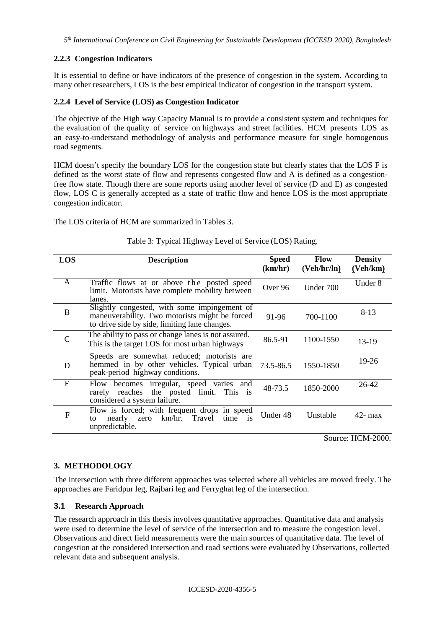## **2.2.3 Congestion Indicators**

It is essential to define or have indicators of the presence of congestion in the system. According to many other researchers, LOS is the best empirical indicator of congestion in the transport system.

## **2.2.4 Level of Service (LOS) as Congestion Indicator**

The objective of the High way Capacity Manual is to provide a consistent system and techniques for the evaluation of the quality of service on highways and street facilities. HCM presents LOS as an easy-to-understand methodology of analysis and performance measure for single homogenous road segments.

HCM doesn't specify the boundary LOS for the congestion state but clearly states that the LOS F is defined as the worst state of flow and represents congested flow and A is defined as a congestionfree flow state. Though there are some reports using another level of service (D and E) as congested flow, LOS C is generally accepted as a state of traffic flow and hence LOS is the most appropriate congestion indicator.

The LOS criteria of HCM are summarized in Tables 3.

| LOS           | <b>Description</b>                                                                                                                              | <b>Speed</b><br>(km/hr) | <b>Flow</b><br>(Veh/hr/ln) | <b>Density</b><br>(Veh/km) |
|---------------|-------------------------------------------------------------------------------------------------------------------------------------------------|-------------------------|----------------------------|----------------------------|
| A             | Traffic flows at or above the posted speed<br>limit. Motorists have complete mobility between<br>lanes.                                         | Over 96                 | Under 700                  | Under 8                    |
| B             | Slightly congested, with some impingement of<br>maneuverability. Two motorists might be forced<br>to drive side by side, limiting lane changes. | 91-96                   | 700-1100                   | $8-13$                     |
| $\mathcal{C}$ | The ability to pass or change lanes is not assured.<br>This is the target LOS for most urban highways                                           | 86.5-91                 | 1100-1550                  | $13-19$                    |
| D             | Speeds are somewhat reduced; motorists are<br>hemmed in by other vehicles. Typical urban<br>peak-period highway conditions.                     | 73.5-86.5               | 1550-1850                  | $19-26$                    |
| E             | Flow becomes irregular, speed varies and<br>rarely reaches the posted limit. This is<br>considered a system failure.                            | 48-73.5                 | 1850-2000                  | $26-42$                    |
| F             | Flow is forced; with frequent drops in speed<br>km/hr.<br>Travel<br>time is<br>nearly<br>zero<br>to<br>unpredictable.                           | Under 48                | Unstable                   | $42 - max$                 |

#### Table 3: Typical Highway Level of Service (LOS) Rating.

Source: HCM-2000.

## **3. METHODOLOGY**

The intersection with three different approaches was selected where all vehicles are moved freely. The approaches are Faridpur leg, Rajbari leg and Ferryghat leg of the intersection.

#### **3.1 Research Approach**

The research approach in this thesis involves quantitative approaches. Quantitative data and analysis were used to determine the level of service of the intersection and to measure the congestion level. Observations and direct field measurements were the main sources of quantitative data. The level of congestion at the considered Intersection and road sections were evaluated by Observations, collected relevant data and subsequent analysis.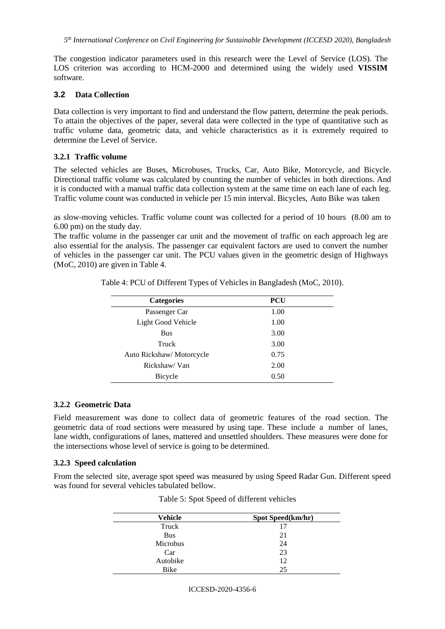The congestion indicator parameters used in this research were the Level of Service (LOS). The LOS criterion was according to HCM-2000 and determined using the widely used **VISSIM**  software.

#### **3.2 Data Collection**

Data collection is very important to find and understand the flow pattern, determine the peak periods. To attain the objectives of the paper, several data were collected in the type of quantitative such as traffic volume data, geometric data, and vehicle characteristics as it is extremely required to determine the Level of Service.

## **3.2.1 Traffic volume**

The selected vehicles are Buses, Microbuses, Trucks, Car, Auto Bike, Motorcycle, and Bicycle. Directional traffic volume was calculated by counting the number of vehicles in both directions. And it is conducted with a manual traffic data collection system at the same time on each lane of each leg. Traffic volume count was conducted in vehicle per 15 min interval. Bicycles, Auto Bike was taken

as slow-moving vehicles. Traffic volume count was collected for a period of 10 hours (8.00 am to 6.00 pm) on the study day.

The traffic volume in the passenger car unit and the movement of traffic on each approach leg are also essential for the analysis. The passenger car equivalent factors are used to convert the number of vehicles in the passenger car unit. The PCU values given in the geometric design of Highways (MoC, 2010) are given in Table 4.

| <b>Categories</b>        | <b>PCU</b> |  |
|--------------------------|------------|--|
| Passenger Car            | 1.00       |  |
| Light Good Vehicle       | 1.00       |  |
| <b>Bus</b>               | 3.00       |  |
| Truck                    | 3.00       |  |
| Auto Rickshaw/Motorcycle | 0.75       |  |
| Rickshaw/Van             | 2.00       |  |
| Bicycle                  | 0.50       |  |

Table 4: PCU of Different Types of Vehicles in Bangladesh (MoC, 2010).

## **3.2.2 Geometric Data**

Field measurement was done to collect data of geometric features of the road section. The geometric data of road sections were measured by using tape. These include a number of lanes, lane width, configurations of lanes, mattered and unsettled shoulders. These measures were done for the intersections whose level of service is going to be determined.

## **3.2.3 Speed calculation**

From the selected site, average spot speed was measured by using Speed Radar Gun. Different speed was found for several vehicles tabulated bellow.

| Vehicle    | Spot Speed(km/hr) |
|------------|-------------------|
| Truck      | 17                |
| <b>Bus</b> | 21                |
| Microbus   | 24                |
| Car        | 23                |
| Autobike   | 12                |
| Bike       | 25                |

Table 5: Spot Speed of different vehicles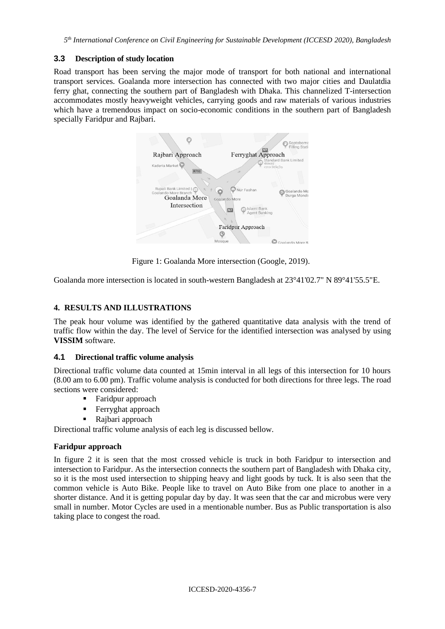*5 th International Conference on Civil Engineering for Sustainable Development (ICCESD 2020), Bangladesh*

## **3.3 Description of study location**

Road transport has been serving the major mode of transport for both national and international transport services. Goalanda more intersection has connected with two major cities and Daulatdia ferry ghat, connecting the southern part of Bangladesh with Dhaka. This channelized T-intersection accommodates mostly heavyweight vehicles, carrying goods and raw materials of various industries which have a tremendous impact on socio-economic conditions in the southern part of Bangladesh specially Faridpur and Rajbari.



Figure 1: Goalanda More intersection (Google, 2019).

Goalanda more intersection is located in south-western Bangladesh at 23°41'02.7" N 89°41'55.5"E.

## **4. RESULTS AND ILLUSTRATIONS**

The peak hour volume was identified by the gathered quantitative data analysis with the trend of traffic flow within the day. The level of Service for the identified intersection was analysed by using **VISSIM** software.

## **4.1 Directional traffic volume analysis**

Directional traffic volume data counted at 15min interval in all legs of this intersection for 10 hours (8.00 am to 6.00 pm). Traffic volume analysis is conducted for both directions for three legs. The road sections were considered:

- Faridpur approach
- Ferryghat approach
- Rajbari approach

Directional traffic volume analysis of each leg is discussed bellow.

## **Faridpur approach**

In figure 2 it is seen that the most crossed vehicle is truck in both Faridpur to intersection and intersection to Faridpur. As the intersection connects the southern part of Bangladesh with Dhaka city, so it is the most used intersection to shipping heavy and light goods by tuck. It is also seen that the common vehicle is Auto Bike. People like to travel on Auto Bike from one place to another in a shorter distance. And it is getting popular day by day. It was seen that the car and microbus were very small in number. Motor Cycles are used in a mentionable number. Bus as Public transportation is also taking place to congest the road.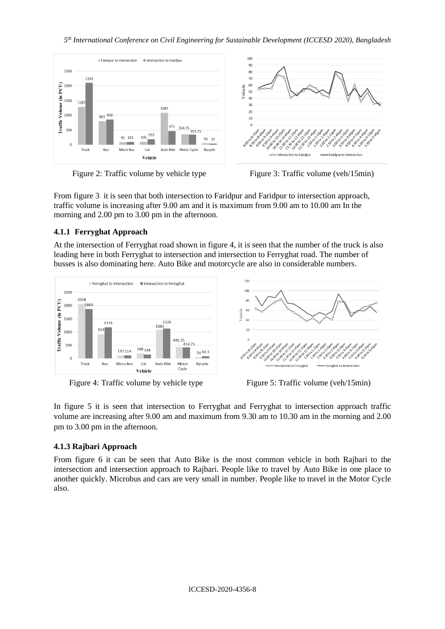$10<sup>°</sup>$ 

90

80  $70$ 



Figure 2: Traffic volume by vehicle type Figure 3: Traffic volume (veh/15min)



From figure 3 it is seen that both intersection to Faridpur and Faridpur to intersection approach, traffic volume is increasing after 9.00 am and it is maximum from 9.00 am to 10.00 am In the morning and 2.00 pm to 3.00 pm in the afternoon.

## **4.1.1 Ferryghat Approach**

At the intersection of Ferryghat road shown in figure 4, it is seen that the number of the truck is also leading here in both Ferryghat to intersection and intersection to Ferryghat road. The number of busses is also dominating here. Auto Bike and motorcycle are also in considerable numbers.



Figure 4: Traffic volume by vehicle type Figure 5: Traffic volume (veh/15min)



In figure 5 it is seen that intersection to Ferryghat and Ferryghat to intersection approach traffic volume are increasing after 9.00 am and maximum from 9.30 am to 10.30 am in the morning and 2.00 pm to 3.00 pm in the afternoon.

## **4.1.3 Rajbari Approach**

From figure 6 it can be seen that Auto Bike is the most common vehicle in both Rajbari to the intersection and intersection approach to Rajbari. People like to travel by Auto Bike in one place to another quickly. Microbus and cars are very small in number. People like to travel in the Motor Cycle also.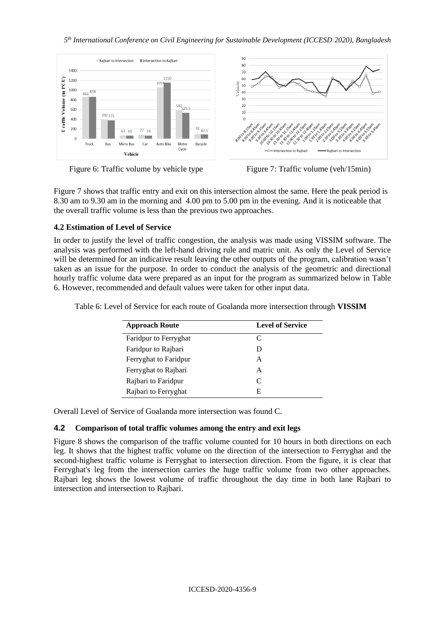

Figure 6: Traffic volume by vehicle type Figure 7: Traffic volume (veh/15min)

Figure 7 shows that traffic entry and exit on this intersection almost the same. Here the peak period is 8.30 am to 9.30 am in the morning and 4.00 pm to 5.00 pm in the evening. And it is noticeable that the overall traffic volume is less than the previous two approaches.

## **4.2 Estimation of Level of Service**

In order to justify the level of traffic congestion, the analysis was made using VISSIM software. The analysis was performed with the left-hand driving rule and matric unit. As only the Level of Service will be determined for an indicative result leaving the other outputs of the program, calibration wasn't taken as an issue for the purpose. In order to conduct the analysis of the geometric and directional hourly traffic volume data were prepared as an input for the program as summarized below in Table 6. However, recommended and default values were taken for other input data.

| <b>Approach Route</b> | <b>Level of Service</b> |
|-----------------------|-------------------------|
| Faridpur to Ferryghat | C                       |
| Faridpur to Rajbari   | D                       |
| Ferryghat to Faridpur | A                       |
| Ferryghat to Rajbari  | A                       |
| Rajbari to Faridpur   | C                       |
| Rajbari to Ferryghat  | E                       |

Table 6: Level of Service for each route of Goalanda more intersection through **VISSIM**

Overall Level of Service of Goalanda more intersection was found C.

#### **4.2 Comparison of total traffic volumes among the entry and exit legs**

Figure 8 shows the comparison of the traffic volume counted for 10 hours in both directions on each leg. It shows that the highest traffic volume on the direction of the intersection to Ferryghat and the second-highest traffic volume is Ferryghat to intersection direction. From the figure, it is clear that Ferryghat's leg from the intersection carries the huge traffic volume from two other approaches. Rajbari leg shows the lowest volume of traffic throughout the day time in both lane Rajbari to intersection and intersection to Rajbari.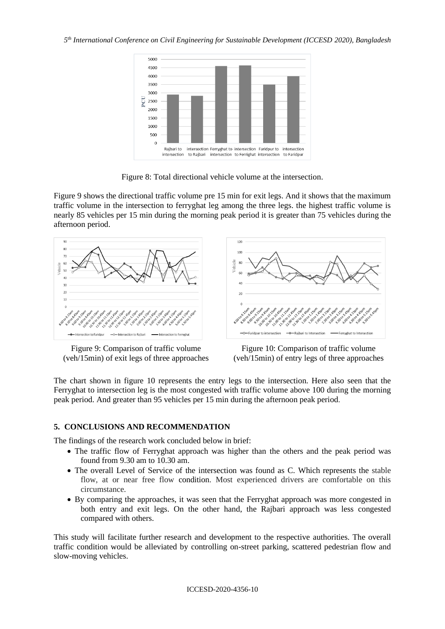

Figure 8: Total directional vehicle volume at the intersection.

Figure 9 shows the directional traffic volume pre 15 min for exit legs. And it shows that the maximum traffic volume in the intersection to ferryghat leg among the three legs. the highest traffic volume is nearly 85 vehicles per 15 min during the morning peak period it is greater than 75 vehicles during the afternoon period.



Figure 9: Comparison of traffic volume (veh/15min) of exit legs of three approaches



Figure 10: Comparison of traffic volume (veh/15min) of entry legs of three approaches

The chart shown in figure 10 represents the entry legs to the intersection. Here also seen that the Ferryghat to intersection leg is the most congested with traffic volume above 100 during the morning peak period. And greater than 95 vehicles per 15 min during the afternoon peak period.

#### **5. CONCLUSIONS AND RECOMMENDATION**

The findings of the research work concluded below in brief:

- The traffic flow of Ferryghat approach was higher than the others and the peak period was found from 9.30 am to 10.30 am.
- The overall Level of Service of the intersection was found as C. Which represents the stable flow, at or near free flow condition. Most experienced drivers are comfortable on this circumstance.
- By comparing the approaches, it was seen that the Ferryghat approach was more congested in both entry and exit legs. On the other hand, the Rajbari approach was less congested compared with others.

This study will facilitate further research and development to the respective authorities. The overall traffic condition would be alleviated by controlling on-street parking, scattered pedestrian flow and slow-moving vehicles.